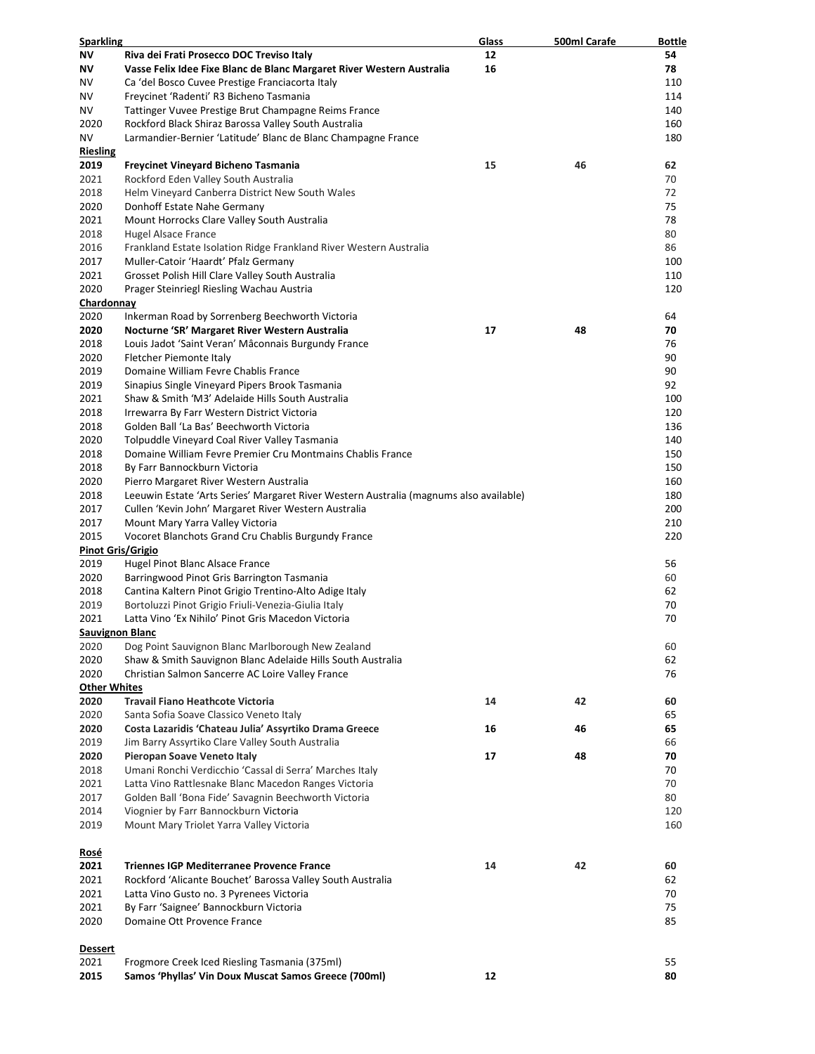| <b>Sparkling</b>         |                                                                                                                                                | <u>Glass</u> | 500ml Carafe | <b>Bottle</b> |
|--------------------------|------------------------------------------------------------------------------------------------------------------------------------------------|--------------|--------------|---------------|
| ΝV                       | Riva dei Frati Prosecco DOC Treviso Italy                                                                                                      | 12           |              | 54            |
| ΝV                       | Vasse Felix Idee Fixe Blanc de Blanc Margaret River Western Australia                                                                          | 16           |              | 78            |
| ΝV                       | Ca 'del Bosco Cuvee Prestige Franciacorta Italy                                                                                                |              |              | 110           |
| ΝV                       | Freycinet 'Radenti' R3 Bicheno Tasmania                                                                                                        |              |              | 114           |
| ΝV                       | Tattinger Vuvee Prestige Brut Champagne Reims France                                                                                           |              |              | 140           |
| 2020                     | Rockford Black Shiraz Barossa Valley South Australia                                                                                           |              |              | 160           |
| ΝV                       | Larmandier-Bernier 'Latitude' Blanc de Blanc Champagne France                                                                                  |              |              | 180           |
| <b>Riesling</b>          |                                                                                                                                                |              |              |               |
| 2019                     | Freycinet Vineyard Bicheno Tasmania                                                                                                            | 15           | 46           | 62            |
| 2021                     | Rockford Eden Valley South Australia                                                                                                           |              |              | 70            |
| 2018                     | Helm Vineyard Canberra District New South Wales                                                                                                |              |              | 72            |
| 2020                     | Donhoff Estate Nahe Germany                                                                                                                    |              |              | 75            |
| 2021                     | Mount Horrocks Clare Valley South Australia                                                                                                    |              |              | 78            |
| 2018                     | Hugel Alsace France                                                                                                                            |              |              | 80            |
| 2016                     | Frankland Estate Isolation Ridge Frankland River Western Australia                                                                             |              |              | 86            |
| 2017                     | Muller-Catoir 'Haardt' Pfalz Germany                                                                                                           |              |              | 100           |
| 2021                     | Grosset Polish Hill Clare Valley South Australia                                                                                               |              |              | 110           |
| 2020                     | Prager Steinriegl Riesling Wachau Austria                                                                                                      |              |              | 120           |
| Chardonnay               |                                                                                                                                                |              |              |               |
| 2020                     | Inkerman Road by Sorrenberg Beechworth Victoria                                                                                                |              |              | 64            |
| 2020                     | Nocturne 'SR' Margaret River Western Australia                                                                                                 | 17           | 48           | 70            |
| 2018                     | Louis Jadot 'Saint Veran' Mâconnais Burgundy France                                                                                            |              |              | 76            |
| 2020                     | Fletcher Piemonte Italy                                                                                                                        |              |              | 90            |
| 2019                     | Domaine William Fevre Chablis France                                                                                                           |              |              | 90            |
| 2019                     | Sinapius Single Vineyard Pipers Brook Tasmania                                                                                                 |              |              | 92            |
| 2021                     | Shaw & Smith 'M3' Adelaide Hills South Australia<br>Irrewarra By Farr Western District Victoria                                                |              |              | 100<br>120    |
| 2018                     |                                                                                                                                                |              |              | 136           |
| 2018<br>2020             | Golden Ball 'La Bas' Beechworth Victoria                                                                                                       |              |              | 140           |
| 2018                     | Tolpuddle Vineyard Coal River Valley Tasmania<br>Domaine William Fevre Premier Cru Montmains Chablis France                                    |              |              | 150           |
| 2018                     | By Farr Bannockburn Victoria                                                                                                                   |              |              | 150           |
| 2020                     | Pierro Margaret River Western Australia                                                                                                        |              |              | 160           |
| 2018                     |                                                                                                                                                |              |              | 180           |
| 2017                     | Leeuwin Estate 'Arts Series' Margaret River Western Australia (magnums also available)<br>Cullen 'Kevin John' Margaret River Western Australia |              |              | 200           |
| 2017                     | Mount Mary Yarra Valley Victoria                                                                                                               |              |              | 210           |
| 2015                     | Vocoret Blanchots Grand Cru Chablis Burgundy France                                                                                            |              |              | 220           |
| <b>Pinot Gris/Grigio</b> |                                                                                                                                                |              |              |               |
| 2019                     | Hugel Pinot Blanc Alsace France                                                                                                                |              |              | 56            |
| 2020                     | Barringwood Pinot Gris Barrington Tasmania                                                                                                     |              |              | 60            |
| 2018                     | Cantina Kaltern Pinot Grigio Trentino-Alto Adige Italy                                                                                         |              |              | 62            |
| 2019                     | Bortoluzzi Pinot Grigio Friuli-Venezia-Giulia Italy                                                                                            |              |              | 70            |
| 2021                     | Latta Vino 'Ex Nihilo' Pinot Gris Macedon Victoria                                                                                             |              |              | 70            |
| Sauvignon Blanc          |                                                                                                                                                |              |              |               |
| 2020                     | Dog Point Sauvignon Blanc Marlborough New Zealand                                                                                              |              |              | 60            |
| 2020                     | Shaw & Smith Sauvignon Blanc Adelaide Hills South Australia                                                                                    |              |              | 62            |
| 2020                     | Christian Salmon Sancerre AC Loire Valley France                                                                                               |              |              | 76            |
| <b>Other Whites</b>      |                                                                                                                                                |              |              |               |
| 2020                     | <b>Travail Fiano Heathcote Victoria</b>                                                                                                        | 14           | 42           | 60            |
| 2020                     | Santa Sofia Soave Classico Veneto Italy                                                                                                        |              |              | 65            |
| 2020                     | Costa Lazaridis 'Chateau Julia' Assyrtiko Drama Greece                                                                                         | 16           | 46           | 65            |
| 2019                     | Jim Barry Assyrtiko Clare Valley South Australia                                                                                               |              |              | 66            |
| 2020                     | Pieropan Soave Veneto Italy                                                                                                                    | 17           | 48           | 70            |
| 2018                     | Umani Ronchi Verdicchio 'Cassal di Serra' Marches Italy                                                                                        |              |              | 70            |
| 2021                     | Latta Vino Rattlesnake Blanc Macedon Ranges Victoria                                                                                           |              |              | 70            |
| 2017                     | Golden Ball 'Bona Fide' Savagnin Beechworth Victoria                                                                                           |              |              | 80            |
| 2014                     | Viognier by Farr Bannockburn Victoria                                                                                                          |              |              | 120           |
| 2019                     | Mount Mary Triolet Yarra Valley Victoria                                                                                                       |              |              | 160           |
|                          |                                                                                                                                                |              |              |               |
| <u>Rosé</u>              |                                                                                                                                                |              |              |               |
| 2021                     | <b>Triennes IGP Mediterranee Provence France</b>                                                                                               | 14           | 42           | 60            |
| 2021                     | Rockford 'Alicante Bouchet' Barossa Valley South Australia                                                                                     |              |              | 62            |
| 2021                     | Latta Vino Gusto no. 3 Pyrenees Victoria                                                                                                       |              |              | 70            |
| 2021                     | By Farr 'Saignee' Bannockburn Victoria                                                                                                         |              |              | 75            |
| 2020                     | Domaine Ott Provence France                                                                                                                    |              |              | 85            |
|                          |                                                                                                                                                |              |              |               |
| <b>Dessert</b>           |                                                                                                                                                |              |              |               |
| 2021                     | Frogmore Creek Iced Riesling Tasmania (375ml)                                                                                                  |              |              | 55            |
| 2015                     | Samos 'Phyllas' Vin Doux Muscat Samos Greece (700ml)                                                                                           | 12           |              | 80            |